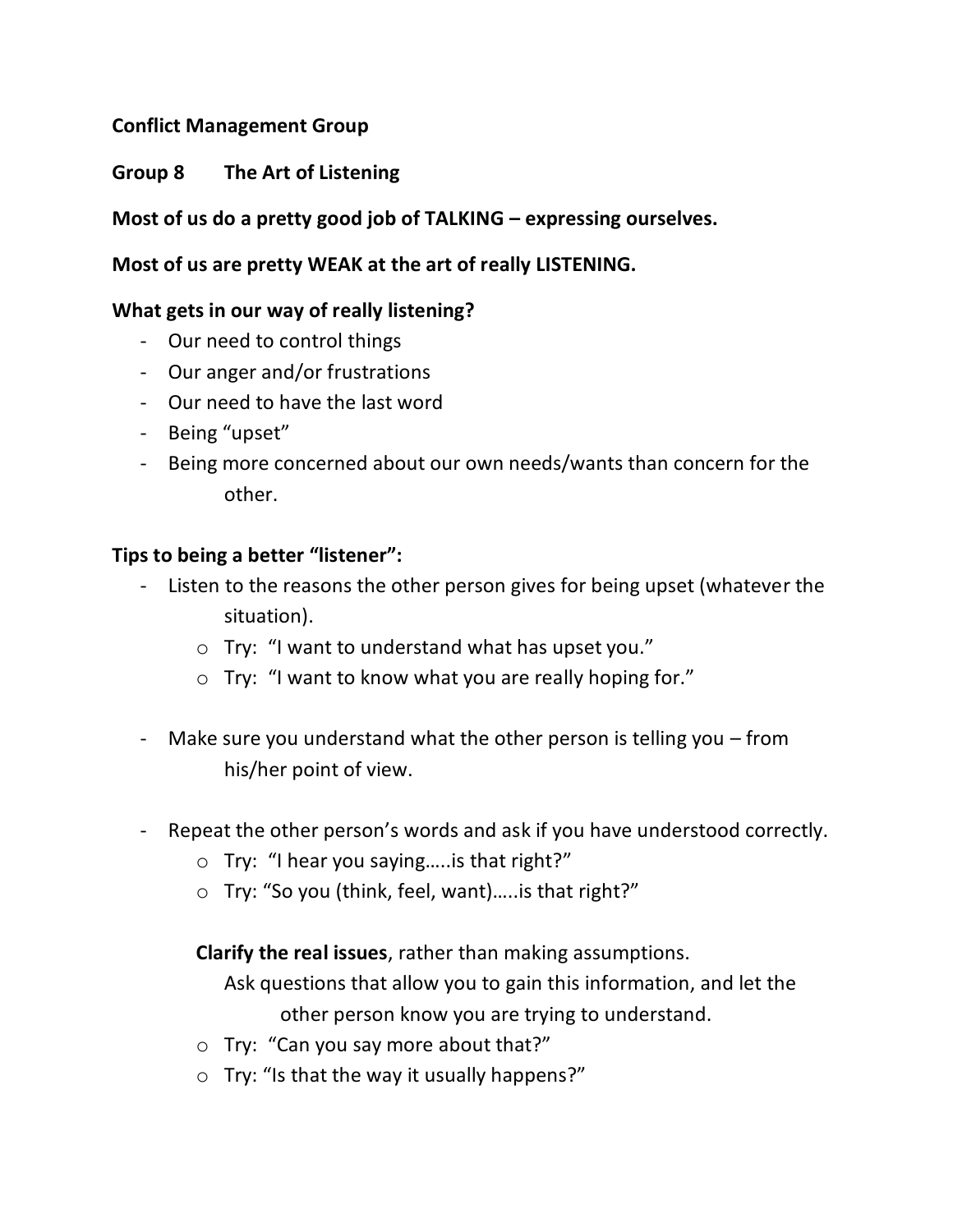# **Conflict Management Group**

# **Group 8 The Art of Listening**

# **Most of us do a pretty good job of TALKING – expressing ourselves.**

## **Most of us are pretty WEAK at the art of really LISTENING.**

## **What gets in our way of really listening?**

- Our need to control things
- Our anger and/or frustrations
- Our need to have the last word
- Being "upset"
- Being more concerned about our own needs/wants than concern for the other.

### **Tips to being a better "listener":**

- Listen to the reasons the other person gives for being upset (whatever the situation).
	- o Try: "I want to understand what has upset you."
	- o Try: "I want to know what you are really hoping for."
- Make sure you understand what the other person is telling you from his/her point of view.
- Repeat the other person's words and ask if you have understood correctly.
	- o Try: "I hear you saying…..is that right?"
	- o Try: "So you (think, feel, want)…..is that right?"

**Clarify the real issues**, rather than making assumptions.

Ask questions that allow you to gain this information, and let the other person know you are trying to understand.

- o Try: "Can you say more about that?"
- o Try: "Is that the way it usually happens?"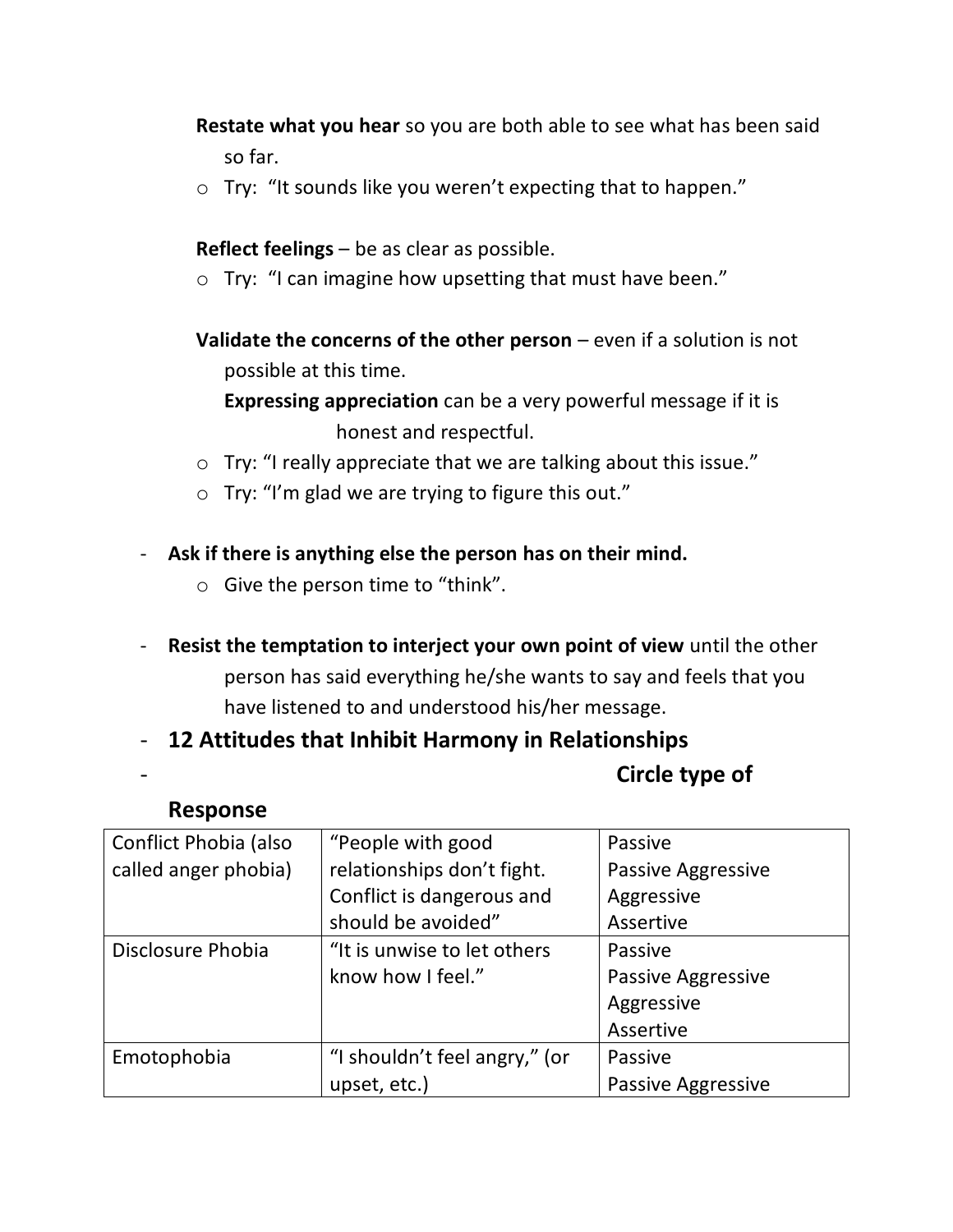- **Restate what you hear** so you are both able to see what has been said so far.
- o Try: "It sounds like you weren't expecting that to happen."

**Reflect feelings** – be as clear as possible.

o Try: "I can imagine how upsetting that must have been."

**Validate the concerns of the other person** – even if a solution is not possible at this time.

**Expressing appreciation** can be a very powerful message if it is honest and respectful.

- o Try: "I really appreciate that we are talking about this issue."
- o Try: "I'm glad we are trying to figure this out."
- **Ask if there is anything else the person has on their mind.**
	- o Give the person time to "think".
- **Resist the temptation to interject your own point of view** until the other person has said everything he/she wants to say and feels that you have listened to and understood his/her message.

- **12 Attitudes that Inhibit Harmony in Relationships**

# - **Circle type of**

# **Response**

| Conflict Phobia (also | "People with good             | Passive                   |
|-----------------------|-------------------------------|---------------------------|
| called anger phobia)  | relationships don't fight.    | Passive Aggressive        |
|                       | Conflict is dangerous and     | Aggressive                |
|                       | should be avoided"            | Assertive                 |
| Disclosure Phobia     | "It is unwise to let others   | Passive                   |
|                       | know how I feel."             | Passive Aggressive        |
|                       |                               | Aggressive                |
|                       |                               | Assertive                 |
| Emotophobia           | "I shouldn't feel angry," (or | Passive                   |
|                       | upset, etc.)                  | <b>Passive Aggressive</b> |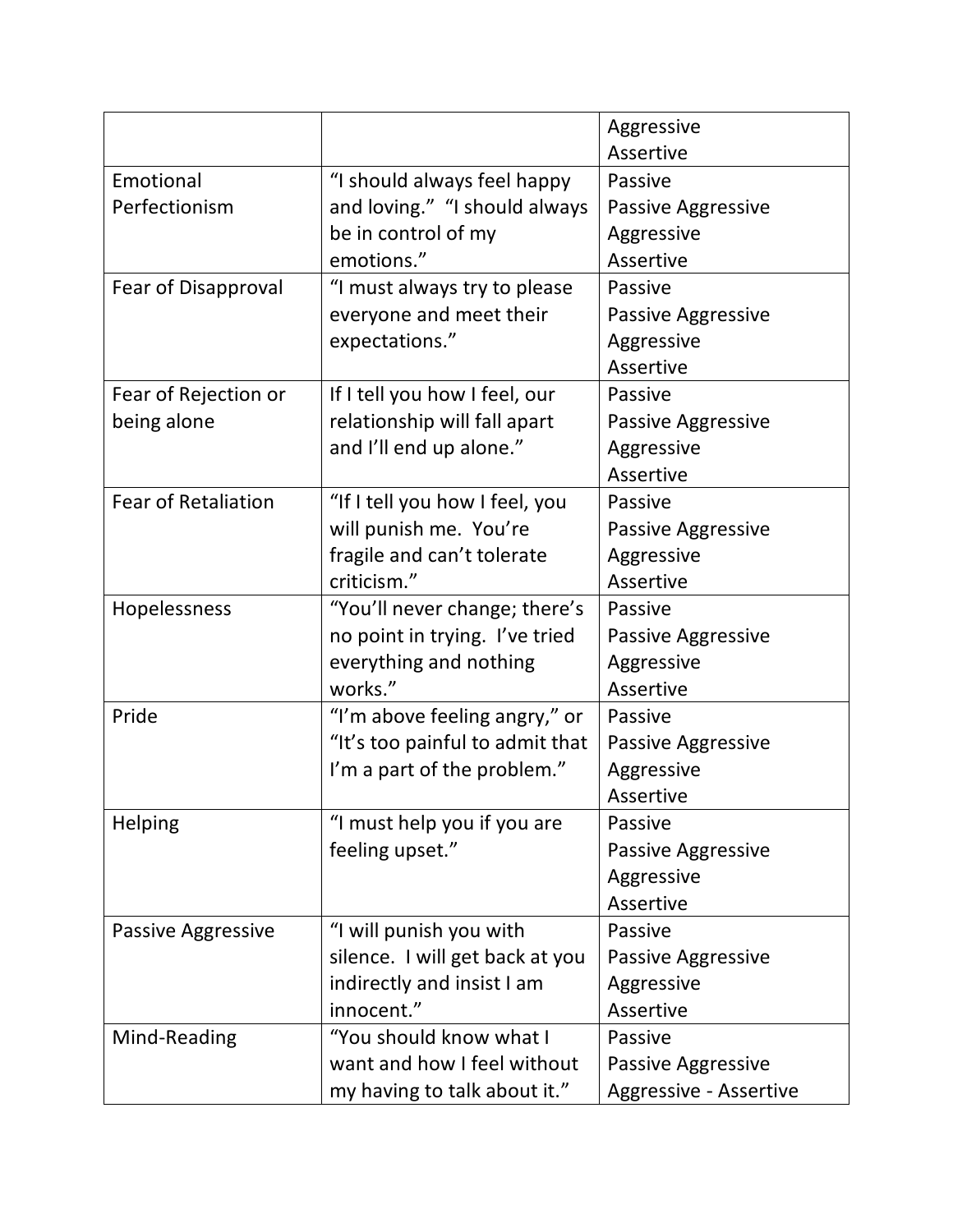|                            |                                 | Aggressive                |
|----------------------------|---------------------------------|---------------------------|
|                            |                                 | Assertive                 |
| Emotional                  | "I should always feel happy     | Passive                   |
| Perfectionism              | and loving." "I should always   | <b>Passive Aggressive</b> |
|                            | be in control of my             | Aggressive                |
|                            | emotions."                      | Assertive                 |
| Fear of Disapproval        | "I must always try to please    | Passive                   |
|                            | everyone and meet their         | <b>Passive Aggressive</b> |
|                            | expectations."                  | Aggressive                |
|                            |                                 | Assertive                 |
| Fear of Rejection or       | If I tell you how I feel, our   | Passive                   |
| being alone                | relationship will fall apart    | <b>Passive Aggressive</b> |
|                            | and I'll end up alone."         | Aggressive                |
|                            |                                 | Assertive                 |
| <b>Fear of Retaliation</b> | "If I tell you how I feel, you  | Passive                   |
|                            | will punish me. You're          | Passive Aggressive        |
|                            | fragile and can't tolerate      | Aggressive                |
|                            | criticism."                     | Assertive                 |
| Hopelessness               | "You'll never change; there's   | Passive                   |
|                            | no point in trying. I've tried  | <b>Passive Aggressive</b> |
|                            | everything and nothing          | Aggressive                |
|                            | works."                         | Assertive                 |
| Pride                      | "I'm above feeling angry," or   | Passive                   |
|                            | "It's too painful to admit that | Passive Aggressive        |
|                            | I'm a part of the problem."     | Aggressive                |
|                            |                                 | Assertive                 |
| <b>Helping</b>             | "I must help you if you are     | Passive                   |
|                            | feeling upset."                 | <b>Passive Aggressive</b> |
|                            |                                 | Aggressive                |
|                            |                                 | Assertive                 |
| Passive Aggressive         | "I will punish you with         | Passive                   |
|                            | silence. I will get back at you | Passive Aggressive        |
|                            | indirectly and insist I am      | Aggressive                |
|                            | innocent."                      | Assertive                 |
| Mind-Reading               | "You should know what I         | Passive                   |
|                            | want and how I feel without     | Passive Aggressive        |
|                            | my having to talk about it."    | Aggressive - Assertive    |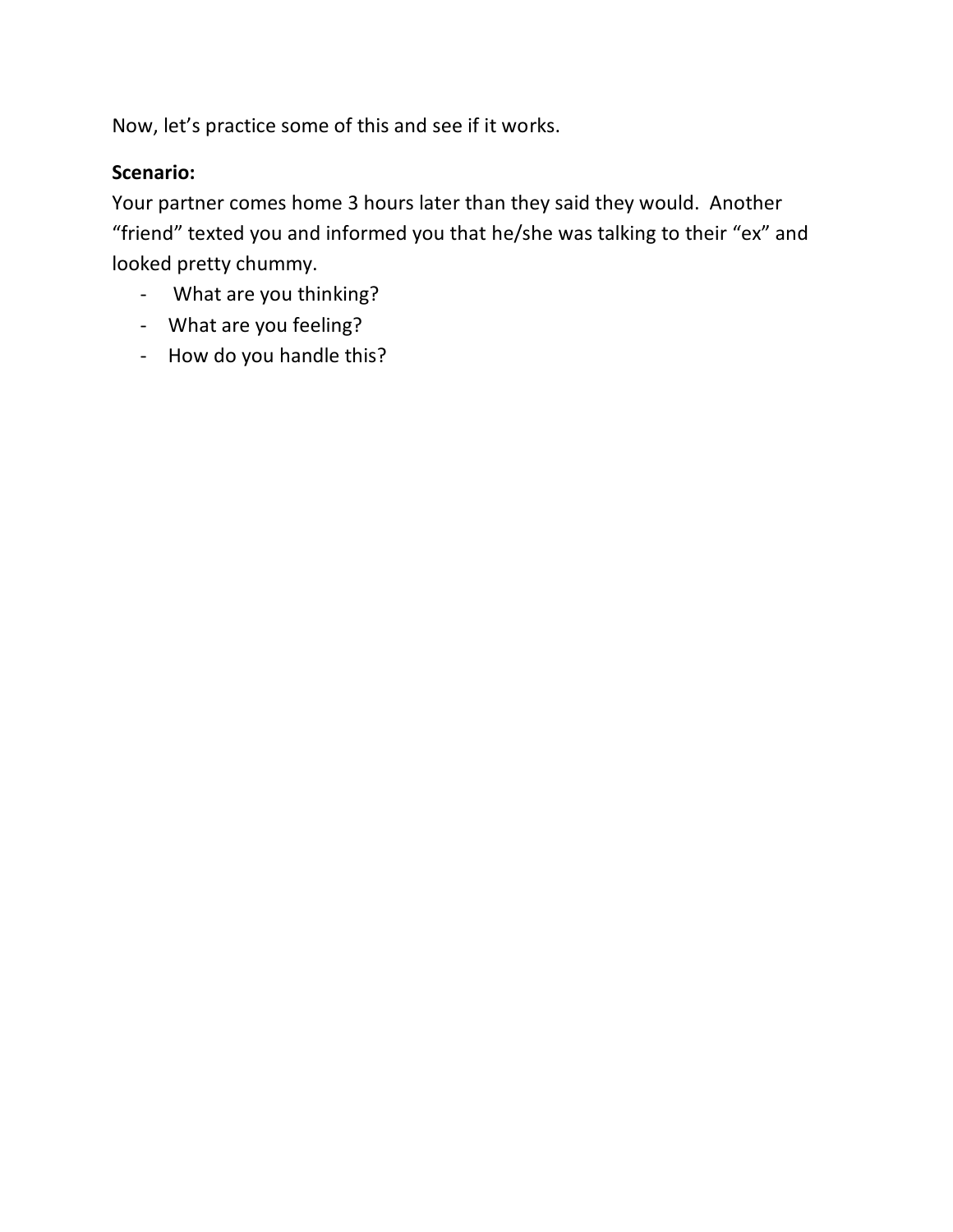Now, let's practice some of this and see if it works.

# **Scenario:**

Your partner comes home 3 hours later than they said they would. Another "friend" texted you and informed you that he/she was talking to their "ex" and looked pretty chummy.

- What are you thinking?
- What are you feeling?
- How do you handle this?